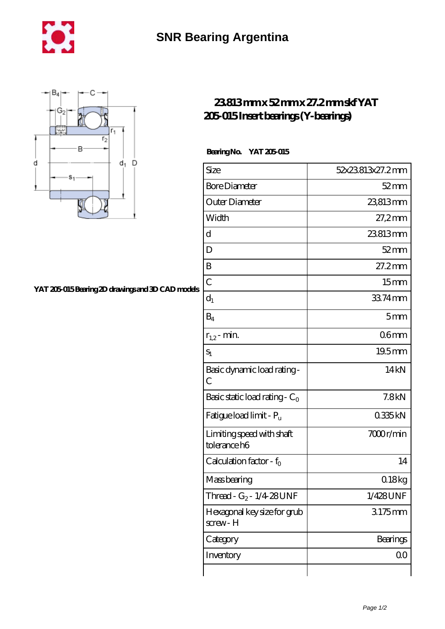



## **[YAT 205-015 Bearing 2D drawings and 3D CAD models](https://m.chilcotinlodge.com/pic-64960260.html)**

## **[23.813 mm x 52 mm x 27.2 mm skf YAT](https://m.chilcotinlodge.com/am-64960260-skf-yat-205-015-insert-bearings-y-bearings.html) [205-015 Insert bearings \(Y-bearings\)](https://m.chilcotinlodge.com/am-64960260-skf-yat-205-015-insert-bearings-y-bearings.html)**

## **Bearing No. YAT 205-015**

| Size                                      | 52x23813x27.2mm    |
|-------------------------------------------|--------------------|
| <b>Bore Diameter</b>                      | $52 \,\mathrm{mm}$ |
| Outer Diameter                            | 23813mm            |
| Width                                     | $27,2$ mm          |
| d                                         | 23813mm            |
| D                                         | $52$ mm            |
| B                                         | 27.2mm             |
| $\overline{C}$                            | 15 <sub>mm</sub>   |
| $d_1$                                     | 33.74mm            |
| $B_4$                                     | 5mm                |
| $r_{1,2}$ - min.                          | 06 <sub>mm</sub>   |
| $S_1$                                     | 19.5mm             |
| Basic dynamic load rating -<br>С          | 14 <sub>kN</sub>   |
| Basic static load rating - $C_0$          | 7.8kN              |
| Fatigue load limit - P <sub>u</sub>       | 0335kN             |
| Limiting speed with shaft<br>tolerance h6 | 7000r/min          |
| Calculation factor - $f_0$                | 14                 |
| Mass bearing                              | 0.18kg             |
| Thread - G <sub>2</sub> - 1/4 28 UNF      | 1/428UNF           |
| Hexagonal key size for grub<br>screw-H    | 3175mm             |
| Category                                  | Bearings           |
| Inventory                                 | 0 <sub>0</sub>     |
|                                           |                    |